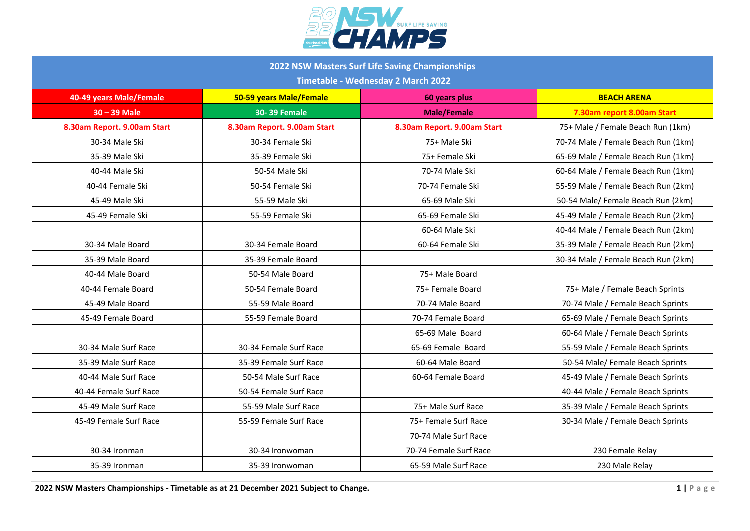

| 2022 NSW Masters Surf Life Saving Championships |                             |                                    |                                     |
|-------------------------------------------------|-----------------------------|------------------------------------|-------------------------------------|
|                                                 |                             | Timetable - Wednesday 2 March 2022 |                                     |
| 40-49 years Male/Female                         | 50-59 years Male/Female     | 60 years plus                      | <b>BEACH ARENA</b>                  |
| $30 - 39$ Male                                  | <b>30-39 Female</b>         | <b>Male/Female</b>                 | 7.30am report 8.00am Start          |
| 8.30am Report. 9.00am Start                     | 8.30am Report. 9.00am Start | 8.30am Report. 9.00am Start        | 75+ Male / Female Beach Run (1km)   |
| 30-34 Male Ski                                  | 30-34 Female Ski            | 75+ Male Ski                       | 70-74 Male / Female Beach Run (1km) |
| 35-39 Male Ski                                  | 35-39 Female Ski            | 75+ Female Ski                     | 65-69 Male / Female Beach Run (1km) |
| 40-44 Male Ski                                  | 50-54 Male Ski              | 70-74 Male Ski                     | 60-64 Male / Female Beach Run (1km) |
| 40-44 Female Ski                                | 50-54 Female Ski            | 70-74 Female Ski                   | 55-59 Male / Female Beach Run (2km) |
| 45-49 Male Ski                                  | 55-59 Male Ski              | 65-69 Male Ski                     | 50-54 Male/ Female Beach Run (2km)  |
| 45-49 Female Ski                                | 55-59 Female Ski            | 65-69 Female Ski                   | 45-49 Male / Female Beach Run (2km) |
|                                                 |                             | 60-64 Male Ski                     | 40-44 Male / Female Beach Run (2km) |
| 30-34 Male Board                                | 30-34 Female Board          | 60-64 Female Ski                   | 35-39 Male / Female Beach Run (2km) |
| 35-39 Male Board                                | 35-39 Female Board          |                                    | 30-34 Male / Female Beach Run (2km) |
| 40-44 Male Board                                | 50-54 Male Board            | 75+ Male Board                     |                                     |
| 40-44 Female Board                              | 50-54 Female Board          | 75+ Female Board                   | 75+ Male / Female Beach Sprints     |
| 45-49 Male Board                                | 55-59 Male Board            | 70-74 Male Board                   | 70-74 Male / Female Beach Sprints   |
| 45-49 Female Board                              | 55-59 Female Board          | 70-74 Female Board                 | 65-69 Male / Female Beach Sprints   |
|                                                 |                             | 65-69 Male Board                   | 60-64 Male / Female Beach Sprints   |
| 30-34 Male Surf Race                            | 30-34 Female Surf Race      | 65-69 Female Board                 | 55-59 Male / Female Beach Sprints   |
| 35-39 Male Surf Race                            | 35-39 Female Surf Race      | 60-64 Male Board                   | 50-54 Male/ Female Beach Sprints    |
| 40-44 Male Surf Race                            | 50-54 Male Surf Race        | 60-64 Female Board                 | 45-49 Male / Female Beach Sprints   |
| 40-44 Female Surf Race                          | 50-54 Female Surf Race      |                                    | 40-44 Male / Female Beach Sprints   |
| 45-49 Male Surf Race                            | 55-59 Male Surf Race        | 75+ Male Surf Race                 | 35-39 Male / Female Beach Sprints   |
| 45-49 Female Surf Race                          | 55-59 Female Surf Race      | 75+ Female Surf Race               | 30-34 Male / Female Beach Sprints   |
|                                                 |                             | 70-74 Male Surf Race               |                                     |
| 30-34 Ironman                                   | 30-34 Ironwoman             | 70-74 Female Surf Race             | 230 Female Relay                    |
| 35-39 Ironman                                   | 35-39 Ironwoman             | 65-59 Male Surf Race               | 230 Male Relay                      |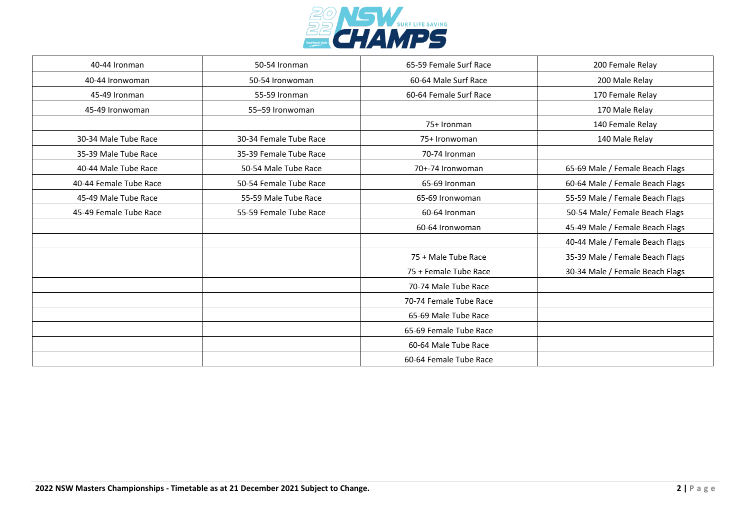

| 40-44 Ironman          | 50-54 Ironman          | 65-59 Female Surf Race | 200 Female Relay                |
|------------------------|------------------------|------------------------|---------------------------------|
| 40-44 Ironwoman        | 50-54 Ironwoman        | 60-64 Male Surf Race   | 200 Male Relay                  |
| 45-49 Ironman          | 55-59 Ironman          | 60-64 Female Surf Race | 170 Female Relay                |
| 45-49 Ironwoman        | 55-59 Ironwoman        |                        | 170 Male Relay                  |
|                        |                        | 75+ Ironman            | 140 Female Relay                |
| 30-34 Male Tube Race   | 30-34 Female Tube Race | 75+ Ironwoman          | 140 Male Relay                  |
| 35-39 Male Tube Race   | 35-39 Female Tube Race | 70-74 Ironman          |                                 |
| 40-44 Male Tube Race   | 50-54 Male Tube Race   | 70+-74 Ironwoman       | 65-69 Male / Female Beach Flags |
| 40-44 Female Tube Race | 50-54 Female Tube Race | 65-69 Ironman          | 60-64 Male / Female Beach Flags |
| 45-49 Male Tube Race   | 55-59 Male Tube Race   | 65-69 Ironwoman        | 55-59 Male / Female Beach Flags |
| 45-49 Female Tube Race | 55-59 Female Tube Race | 60-64 Ironman          | 50-54 Male/ Female Beach Flags  |
|                        |                        | 60-64 Ironwoman        | 45-49 Male / Female Beach Flags |
|                        |                        |                        | 40-44 Male / Female Beach Flags |
|                        |                        | 75 + Male Tube Race    | 35-39 Male / Female Beach Flags |
|                        |                        | 75 + Female Tube Race  | 30-34 Male / Female Beach Flags |
|                        |                        | 70-74 Male Tube Race   |                                 |
|                        |                        | 70-74 Female Tube Race |                                 |
|                        |                        | 65-69 Male Tube Race   |                                 |
|                        |                        | 65-69 Female Tube Race |                                 |
|                        |                        | 60-64 Male Tube Race   |                                 |
|                        |                        | 60-64 Female Tube Race |                                 |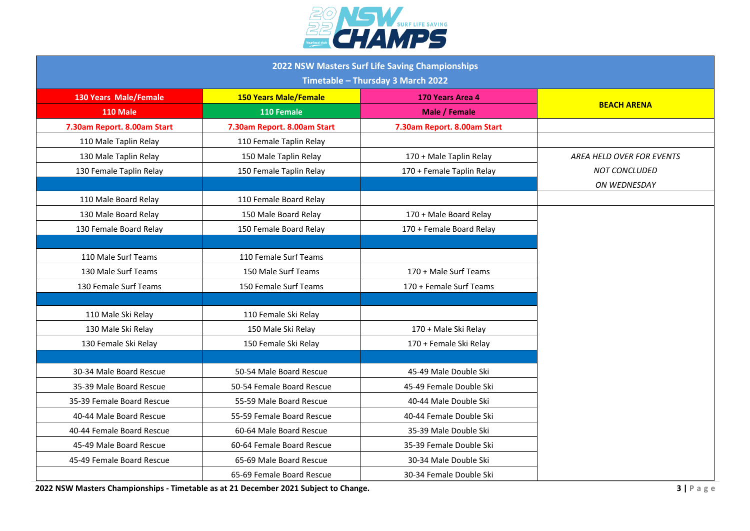

| 2022 NSW Masters Surf Life Saving Championships<br>Timetable - Thursday 3 March 2022 |                              |                             |                           |  |
|--------------------------------------------------------------------------------------|------------------------------|-----------------------------|---------------------------|--|
| <b>130 Years Male/Female</b>                                                         | <b>150 Years Male/Female</b> | 170 Years Area 4            |                           |  |
| <b>110 Male</b>                                                                      | 110 Female                   | Male / Female               | <b>BEACH ARENA</b>        |  |
| 7.30am Report. 8.00am Start                                                          | 7.30am Report. 8.00am Start  | 7.30am Report. 8.00am Start |                           |  |
| 110 Male Taplin Relay                                                                | 110 Female Taplin Relay      |                             |                           |  |
| 130 Male Taplin Relay                                                                | 150 Male Taplin Relay        | 170 + Male Taplin Relay     | AREA HELD OVER FOR EVENTS |  |
| 130 Female Taplin Relay                                                              | 150 Female Taplin Relay      | 170 + Female Taplin Relay   | NOT CONCLUDED             |  |
|                                                                                      |                              |                             | ON WEDNESDAY              |  |
| 110 Male Board Relay                                                                 | 110 Female Board Relay       |                             |                           |  |
| 130 Male Board Relay                                                                 | 150 Male Board Relay         | 170 + Male Board Relay      |                           |  |
| 130 Female Board Relay                                                               | 150 Female Board Relay       | 170 + Female Board Relay    |                           |  |
|                                                                                      |                              |                             |                           |  |
| 110 Male Surf Teams                                                                  | 110 Female Surf Teams        |                             |                           |  |
| 130 Male Surf Teams                                                                  | 150 Male Surf Teams          | 170 + Male Surf Teams       |                           |  |
| 130 Female Surf Teams                                                                | 150 Female Surf Teams        | 170 + Female Surf Teams     |                           |  |
|                                                                                      |                              |                             |                           |  |
| 110 Male Ski Relay                                                                   | 110 Female Ski Relay         |                             |                           |  |
| 130 Male Ski Relay                                                                   | 150 Male Ski Relay           | 170 + Male Ski Relay        |                           |  |
| 130 Female Ski Relay                                                                 | 150 Female Ski Relay         | 170 + Female Ski Relay      |                           |  |
|                                                                                      |                              |                             |                           |  |
| 30-34 Male Board Rescue                                                              | 50-54 Male Board Rescue      | 45-49 Male Double Ski       |                           |  |
| 35-39 Male Board Rescue                                                              | 50-54 Female Board Rescue    | 45-49 Female Double Ski     |                           |  |
| 35-39 Female Board Rescue                                                            | 55-59 Male Board Rescue      | 40-44 Male Double Ski       |                           |  |
| 40-44 Male Board Rescue                                                              | 55-59 Female Board Rescue    | 40-44 Female Double Ski     |                           |  |
| 40-44 Female Board Rescue                                                            | 60-64 Male Board Rescue      | 35-39 Male Double Ski       |                           |  |
| 45-49 Male Board Rescue                                                              | 60-64 Female Board Rescue    | 35-39 Female Double Ski     |                           |  |
| 45-49 Female Board Rescue                                                            | 65-69 Male Board Rescue      | 30-34 Male Double Ski       |                           |  |
|                                                                                      | 65-69 Female Board Rescue    | 30-34 Female Double Ski     |                           |  |

**2022 NSW Masters Championships - Timetable as at 21 December 2021 Subject to Change. 3 | P a g e**